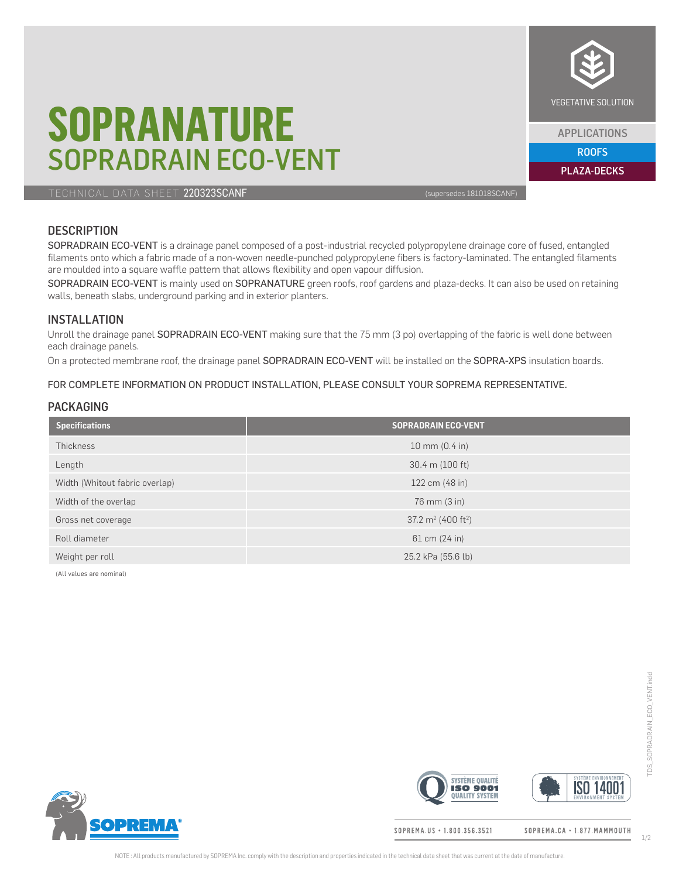# **SOPRANATURE** SOPRADRAIN ECO-VENT

TECHNICAL DATA SHEET 220323SCANF (supersedes 181018SCANF)

## **DESCRIPTION**

SOPRADRAIN ECO-VENT is a drainage panel composed of a post-industrial recycled polypropylene drainage core of fused, entangled filaments onto which a fabric made of a non-woven needle-punched polypropylene fibers is factory-laminated. The entangled filaments are moulded into a square waffle pattern that allows flexibility and open vapour diffusion.

SOPRADRAIN ECO-VENT is mainly used on SOPRANATURE green roofs, roof gardens and plaza-decks. It can also be used on retaining walls, beneath slabs, underground parking and in exterior planters.

### INSTALLATION

Unroll the drainage panel SOPRADRAIN ECO-VENT making sure that the 75 mm (3 po) overlapping of the fabric is well done between each drainage panels.

On a protected membrane roof, the drainage panel SOPRADRAIN ECO-VENT will be installed on the SOPRA-XPS insulation boards.

#### FOR COMPLETE INFORMATION ON PRODUCT INSTALLATION, PLEASE CONSULT YOUR SOPREMA REPRESENTATIVE.

### PACKAGING

| <b>Specifications</b>          | <b>SOPRADRAIN ECO-VENT</b>            |
|--------------------------------|---------------------------------------|
| <b>Thickness</b>               | 10 mm $(0.4 \text{ in})$              |
| Length                         | 30.4 m (100 ft)                       |
| Width (Whitout fabric overlap) | 122 cm (48 in)                        |
| Width of the overlap           | 76 mm (3 in)                          |
| Gross net coverage             | $37.2 \text{ m}^2 (400 \text{ ft}^2)$ |
| Roll diameter                  | 61 cm (24 in)                         |
| Weight per roll                | 25.2 kPa (55.6 lb)                    |

(All values are nominal)



**ISO 14001 ISO 9001 QUALITY SYSTEM** 

SOPREMA.US · 1.800.356.3521

ROOFS APPLICATIONS

PLAZA-DECKS

**SYSTÈME QUALITÉ** 





NOTE: All products manufactured by SOPREMA Inc. comply with the description and properties indicated in the technical data sheet that was current at the date of manufacture